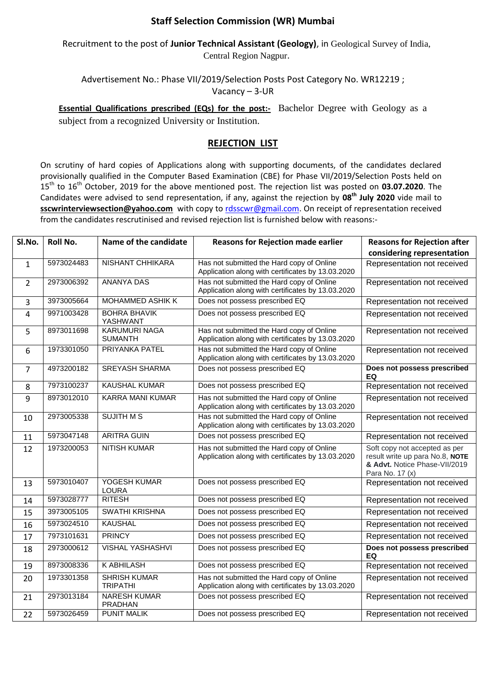## **Staff Selection Commission (WR) Mumbai**

Recruitment to the post of **Junior Technical Assistant (Geology)**, in Geological Survey of India, Central Region Nagpur.

Advertisement No.: Phase VII/2019/Selection Posts Post Category No. WR12219 ; Vacancy – 3-UR

**Essential Qualifications prescribed (EQs) for the post:-** Bachelor Degree with Geology as a

subject from a recognized University or Institution.

## **REJECTION LIST**

On scrutiny of hard copies of Applications along with supporting documents, of the candidates declared provisionally qualified in the Computer Based Examination (CBE) for Phase VII/2019/Selection Posts held on 15 th to 16th October, 2019 for the above mentioned post. The rejection list was posted on **03.07.2020**. The Candidates were advised to send representation, if any, against the rejection by **08 th July 2020** vide mail to sscwrinterviewsection@yahoo.com with copy to [rdsscwr@gmail.com.](mailto:rdsscwr@gmail.com) On receipt of representation received from the candidates rescrutinised and revised rejection list is furnished below with reasons:-

| SI.No.         | <b>Roll No.</b> | Name of the candidate                  | <b>Reasons for Rejection made earlier</b>                                                      | <b>Reasons for Rejection after</b>                                                                                   |
|----------------|-----------------|----------------------------------------|------------------------------------------------------------------------------------------------|----------------------------------------------------------------------------------------------------------------------|
|                |                 |                                        |                                                                                                | considering representation                                                                                           |
| $\mathbf{1}$   | 5973024483      | <b>NISHANT CHHIKARA</b>                | Has not submitted the Hard copy of Online<br>Application along with certificates by 13.03.2020 | Representation not received                                                                                          |
| $\overline{2}$ | 2973006392      | <b>ANANYA DAS</b>                      | Has not submitted the Hard copy of Online<br>Application along with certificates by 13.03.2020 | Representation not received                                                                                          |
| 3              | 3973005664      | <b>MOHAMMED ASHIK K</b>                | Does not possess prescribed EQ                                                                 | Representation not received                                                                                          |
| 4              | 9971003428      | <b>BOHRA BHAVIK</b><br>YASHWANT        | Does not possess prescribed EQ                                                                 | Representation not received                                                                                          |
| 5              | 8973011698      | <b>KARUMURI NAGA</b><br><b>SUMANTH</b> | Has not submitted the Hard copy of Online<br>Application along with certificates by 13.03.2020 | Representation not received                                                                                          |
| 6              | 1973301050      | PRIYANKA PATEL                         | Has not submitted the Hard copy of Online<br>Application along with certificates by 13.03.2020 | Representation not received                                                                                          |
| $\overline{7}$ | 4973200182      | <b>SREYASH SHARMA</b>                  | Does not possess prescribed EQ                                                                 | Does not possess prescribed<br>EQ                                                                                    |
| 8              | 7973100237      | <b>KAUSHAL KUMAR</b>                   | Does not possess prescribed EQ                                                                 | Representation not received                                                                                          |
| 9              | 8973012010      | <b>KARRA MANI KUMAR</b>                | Has not submitted the Hard copy of Online<br>Application along with certificates by 13.03.2020 | Representation not received                                                                                          |
| 10             | 2973005338      | <b>SUJITH MS</b>                       | Has not submitted the Hard copy of Online<br>Application along with certificates by 13.03.2020 | Representation not received                                                                                          |
| 11             | 5973047148      | <b>ARITRA GUIN</b>                     | Does not possess prescribed EQ                                                                 | Representation not received                                                                                          |
| 12             | 1973200053      | <b>NITISH KUMAR</b>                    | Has not submitted the Hard copy of Online<br>Application along with certificates by 13.03.2020 | Soft copy not accepted as per<br>result write up para No.8, NOTE<br>& Advt. Notice Phase-VII/2019<br>Para No. 17 (x) |
| 13             | 5973010407      | YOGESH KUMAR<br><b>LOURA</b>           | Does not possess prescribed EQ                                                                 | Representation not received                                                                                          |
| 14             | 5973028777      | <b>RITESH</b>                          | Does not possess prescribed EQ                                                                 | Representation not received                                                                                          |
| 15             | 3973005105      | <b>SWATHI KRISHNA</b>                  | Does not possess prescribed EQ                                                                 | Representation not received                                                                                          |
| 16             | 5973024510      | <b>KAUSHAL</b>                         | Does not possess prescribed EQ                                                                 | Representation not received                                                                                          |
| 17             | 7973101631      | <b>PRINCY</b>                          | Does not possess prescribed EQ                                                                 | Representation not received                                                                                          |
| 18             | 2973000612      | <b>VISHAL YASHASHVI</b>                | Does not possess prescribed EQ                                                                 | Does not possess prescribed<br>EQ                                                                                    |
| 19             | 8973008336      | <b>KABHILASH</b>                       | Does not possess prescribed EQ                                                                 | Representation not received                                                                                          |
| 20             | 1973301358      | <b>SHRISH KUMAR</b><br><b>TRIPATHI</b> | Has not submitted the Hard copy of Online<br>Application along with certificates by 13.03.2020 | Representation not received                                                                                          |
| 21             | 2973013184      | <b>NARESH KUMAR</b><br>PRADHAN         | Does not possess prescribed EQ                                                                 | Representation not received                                                                                          |
| 22             | 5973026459      | <b>PUNIT MALIK</b>                     | Does not possess prescribed EQ                                                                 | Representation not received                                                                                          |